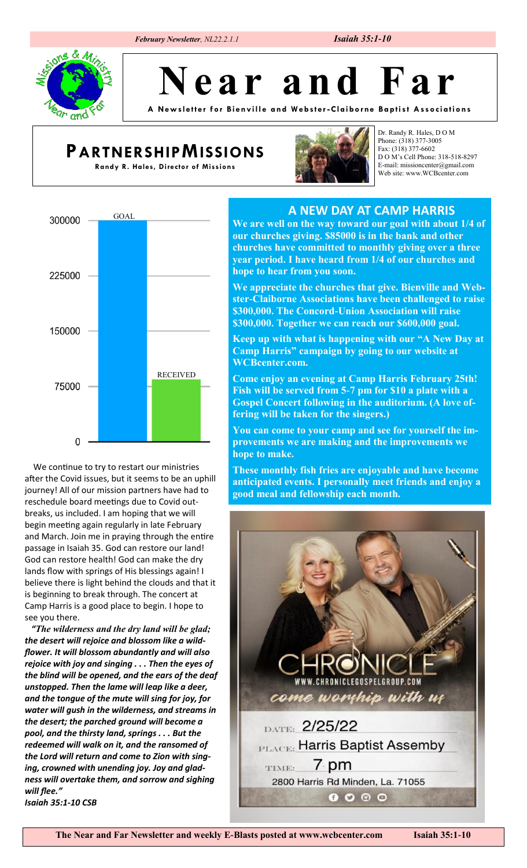## *February Newsletter, NL22.2.1.1 Isaiah 35:1-10*



**N e a r a n d F a r**

**A New sl ett er for Bi envill e a nd We bste r -Clai borne Ba pti st Associ ations**

## **PARTNERSHIPMISSIONS**

**Randy R. Hales, Director of Missions**



Dr. Randy R. Hales, D O M Phone: (318) 377-3005 Fax: (318) 377-6602 D O M's Cell Phone: 318-518-8297 E-mail: missioncenter@gmail.com Web site: www.WCBcenter.com



after the Covid issues, but it seems to be an uphill journey! All of our mission partners have had to reschedule board meetings due to Covid outbreaks, us included. I am hoping that we will begin meeting again regularly in late February and March. Join me in praying through the entire passage in Isaiah 35. God can restore our land! God can restore health! God can make the dry lands flow with springs of His blessings again! I believe there is light behind the clouds and that it is beginning to break through. The concert at Camp Harris is a good place to begin. I hope to see you there.

 *"The wilderness and the dry land will be glad; the desert will rejoice and blossom like a wildflower. It will blossom abundantly and will also rejoice with joy and singing . . . Then the eyes of the blind will be opened, and the ears of the deaf unstopped. Then the lame will leap like a deer, and the tongue of the mute will sing for joy, for water will gush in the wilderness, and streams in the desert; the parched ground will become a pool, and the thirsty land, springs . . . But the redeemed will walk on it, and the ransomed of the Lord will return and come to Zion with singing, crowned with unending joy. Joy and gladness will overtake them, and sorrow and sighing will flee." Isaiah 35:1-10 CSB*

**A NEW DAY AT CAMP HARRIS**

**We are well on the way toward our goal with about 1/4 of our churches giving. \$85000 is in the bank and other churches have committed to monthly giving over a three year period. I have heard from 1/4 of our churches and hope to hear from you soon.** 

**We appreciate the churches that give. Bienville and Webster-Claiborne Associations have been challenged to raise \$300,000. The Concord-Union Association will raise \$300,000. Together we can reach our \$600,000 goal.**

**Keep up with what is happening with our "A New Day at Camp Harris" campaign by going to our website at WCBcenter.com.** 

**Come enjoy an evening at Camp Harris February 25th! Fish will be served from 5-7 pm for \$10 a plate with a Gospel Concert following in the auditorium. (A love offering will be taken for the singers.)** 

**You can come to your camp and see for yourself the improvements we are making and the improvements we hope to make.**

We continue to try to restart our ministries **These monthly fish fries are enjoyable and have become anticipated events. I personally meet friends and enjoy a good meal and fellowship each month.**